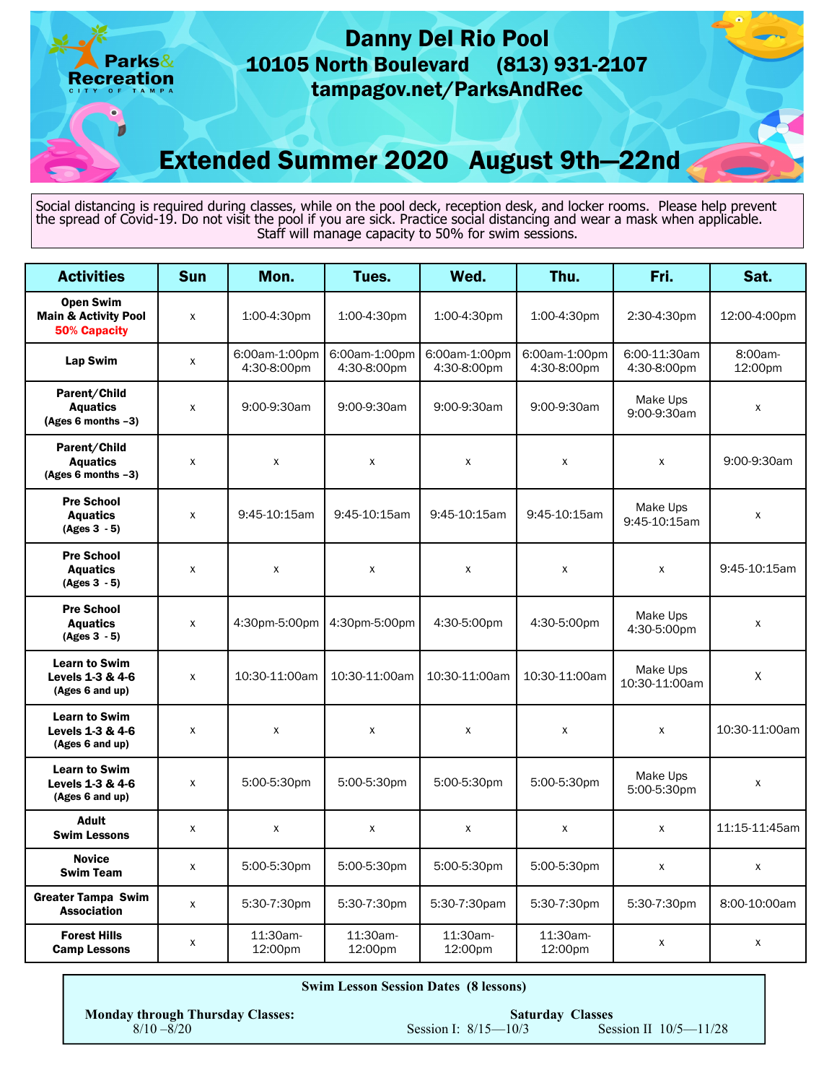

| <b>Activities</b>                                             | <b>Sun</b>         | Mon.                         | Tues.                        | Wed.                         | Thu.                         | Fri.                        | Sat.               |
|---------------------------------------------------------------|--------------------|------------------------------|------------------------------|------------------------------|------------------------------|-----------------------------|--------------------|
| <b>Open Swim</b>                                              |                    |                              |                              |                              |                              |                             |                    |
| <b>Main &amp; Activity Pool</b><br><b>50% Capacity</b>        | X                  | 1:00-4:30pm                  | 1:00-4:30pm                  | 1:00-4:30pm                  | 1:00-4:30pm                  | 2:30-4:30pm                 | 12:00-4:00pm       |
| Lap Swim                                                      | $\mathsf{X}$       | 6:00am-1:00pm<br>4:30-8:00pm | 6:00am-1:00pm<br>4:30-8:00pm | 6:00am-1:00pm<br>4:30-8:00pm | 6:00am-1:00pm<br>4:30-8:00pm | 6:00-11:30am<br>4:30-8:00pm | 8:00am-<br>12:00pm |
| Parent/Child<br><b>Aquatics</b><br>$(Ages 6 months -3)$       | X                  | 9:00-9:30am                  | 9:00-9:30am                  | 9:00-9:30am                  | 9:00-9:30am                  | Make Ups<br>9:00-9:30am     | X                  |
| Parent/Child<br><b>Aquatics</b><br>(Ages 6 months -3)         | X                  | X                            | X                            | X                            | X                            | $\mathsf{x}$                | 9:00-9:30am        |
| <b>Pre School</b><br><b>Aquatics</b><br>$(Ages 3 - 5)$        | X                  | 9:45-10:15am                 | 9:45-10:15am                 | 9:45-10:15am                 | 9:45-10:15am                 | Make Ups<br>9:45-10:15am    | X                  |
| <b>Pre School</b><br><b>Aquatics</b><br>$(Ages 3 - 5)$        | X                  | X                            | X                            | X                            | X                            | $\pmb{\chi}$                | 9:45-10:15am       |
| <b>Pre School</b><br><b>Aquatics</b><br>$(Ages 3 - 5)$        | $\pmb{\chi}$       | 4:30pm-5:00pm                | 4:30pm-5:00pm                | 4:30-5:00pm                  | 4:30-5:00pm                  | Make Ups<br>4:30-5:00pm     | $\pmb{\chi}$       |
| <b>Learn to Swim</b><br>Levels 1-3 & 4-6<br>(Ages 6 and up)   | $\pmb{\chi}$       | 10:30-11:00am                | 10:30-11:00am                | 10:30-11:00am                | 10:30-11:00am                | Make Ups<br>10:30-11:00am   | X                  |
| <b>Learn to Swim</b><br>Levels 1-3 & 4-6<br>(Ages 6 and up)   | X                  | $\pmb{\mathsf{X}}$           | $\pmb{\mathsf{X}}$           | X                            | $\mathsf{x}$                 | $\pmb{\mathsf{X}}$          | 10:30-11:00am      |
| <b>Learn to Swim</b><br>Levels $1-3 & 4-6$<br>(Ages 6 and up) | $\pmb{\chi}$       | 5:00-5:30pm                  | 5:00-5:30pm                  | 5:00-5:30pm                  | 5:00-5:30pm                  | Make Ups<br>5:00-5:30pm     | X                  |
| <b>Adult</b><br><b>Swim Lessons</b>                           | $\pmb{\mathsf{x}}$ | $\pmb{\mathsf{X}}$           | X                            | X                            | X                            | X                           | 11:15-11:45am      |
| <b>Novice</b><br><b>Swim Team</b>                             | X                  | 5:00-5:30pm                  | 5:00-5:30pm                  | 5:00-5:30pm                  | 5:00-5:30pm                  | X                           | X                  |
| <b>Greater Tampa Swim</b><br><b>Association</b>               | $\pmb{\mathsf{x}}$ | 5:30-7:30pm                  | 5:30-7:30pm                  | 5:30-7:30pam                 | 5:30-7:30pm                  | 5:30-7:30pm                 | 8:00-10:00am       |
| <b>Forest Hills</b><br><b>Camp Lessons</b>                    | X                  | 11:30am-<br>12:00pm          | 11:30am-<br>12:00pm          | 11:30am-<br>12:00pm          | 11:30am-<br>12:00pm          | X                           | X                  |

| <b>Swim Lesson Session Dates (8 lessons)</b>             |                          |                                                      |  |  |  |
|----------------------------------------------------------|--------------------------|------------------------------------------------------|--|--|--|
| <b>Monday through Thursday Classes:</b><br>$8/10 - 8/20$ | Session I: $8/15 - 10/3$ | <b>Saturday Classes</b><br>Session II $10/5 - 11/28$ |  |  |  |
|                                                          |                          |                                                      |  |  |  |